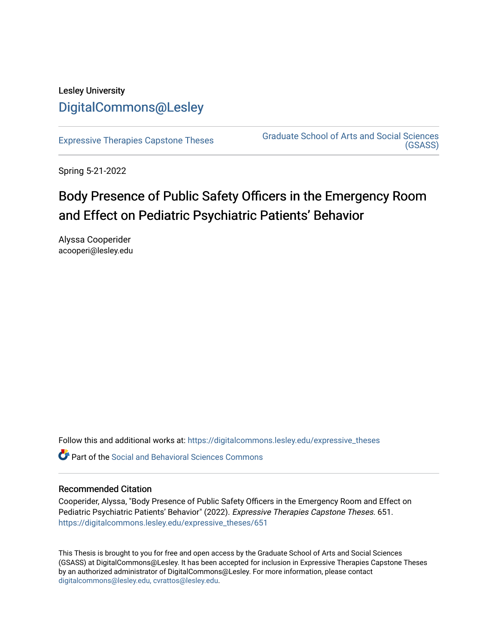# Lesley University [DigitalCommons@Lesley](https://digitalcommons.lesley.edu/)

[Expressive Therapies Capstone Theses](https://digitalcommons.lesley.edu/expressive_theses) Graduate School of Arts and Social Sciences [\(GSASS\)](https://digitalcommons.lesley.edu/gsass) 

Spring 5-21-2022

# Body Presence of Public Safety Officers in the Emergency Room and Effect on Pediatric Psychiatric Patients' Behavior

Alyssa Cooperider acooperi@lesley.edu

Follow this and additional works at: [https://digitalcommons.lesley.edu/expressive\\_theses](https://digitalcommons.lesley.edu/expressive_theses?utm_source=digitalcommons.lesley.edu%2Fexpressive_theses%2F651&utm_medium=PDF&utm_campaign=PDFCoverPages)

Part of the [Social and Behavioral Sciences Commons](https://network.bepress.com/hgg/discipline/316?utm_source=digitalcommons.lesley.edu%2Fexpressive_theses%2F651&utm_medium=PDF&utm_campaign=PDFCoverPages) 

### Recommended Citation

Cooperider, Alyssa, "Body Presence of Public Safety Officers in the Emergency Room and Effect on Pediatric Psychiatric Patients' Behavior" (2022). Expressive Therapies Capstone Theses. 651. [https://digitalcommons.lesley.edu/expressive\\_theses/651](https://digitalcommons.lesley.edu/expressive_theses/651?utm_source=digitalcommons.lesley.edu%2Fexpressive_theses%2F651&utm_medium=PDF&utm_campaign=PDFCoverPages)

This Thesis is brought to you for free and open access by the Graduate School of Arts and Social Sciences (GSASS) at DigitalCommons@Lesley. It has been accepted for inclusion in Expressive Therapies Capstone Theses by an authorized administrator of DigitalCommons@Lesley. For more information, please contact [digitalcommons@lesley.edu, cvrattos@lesley.edu](mailto:digitalcommons@lesley.edu,%20cvrattos@lesley.edu).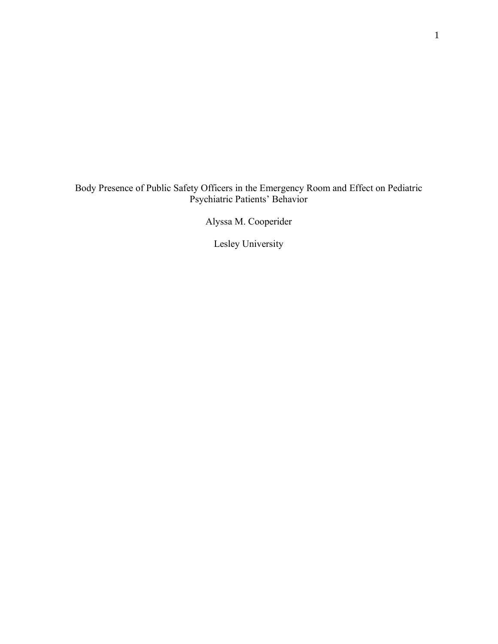# Body Presence of Public Safety Officers in the Emergency Room and Effect on Pediatric Psychiatric Patients' Behavior

Alyssa M. Cooperider

Lesley University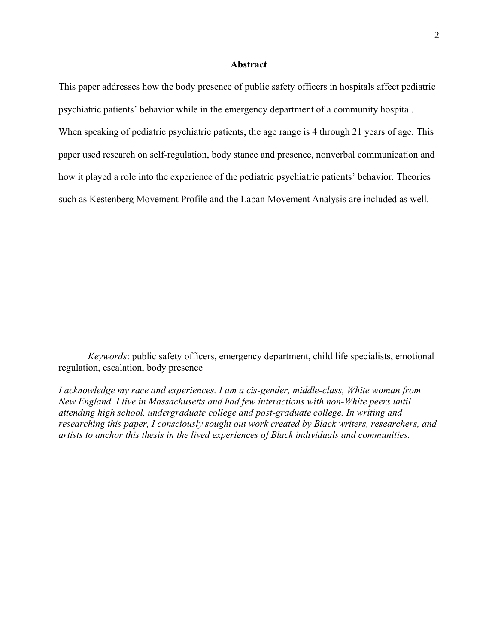#### **Abstract**

This paper addresses how the body presence of public safety officers in hospitals affect pediatric psychiatric patients' behavior while in the emergency department of a community hospital. When speaking of pediatric psychiatric patients, the age range is 4 through 21 years of age. This paper used research on self-regulation, body stance and presence, nonverbal communication and how it played a role into the experience of the pediatric psychiatric patients' behavior. Theories such as Kestenberg Movement Profile and the Laban Movement Analysis are included as well.

*Keywords*: public safety officers, emergency department, child life specialists, emotional regulation, escalation, body presence

*I acknowledge my race and experiences. I am a cis-gender, middle-class, White woman from New England. I live in Massachusetts and had few interactions with non-White peers until attending high school, undergraduate college and post-graduate college. In writing and researching this paper, I consciously sought out work created by Black writers, researchers, and artists to anchor this thesis in the lived experiences of Black individuals and communities.*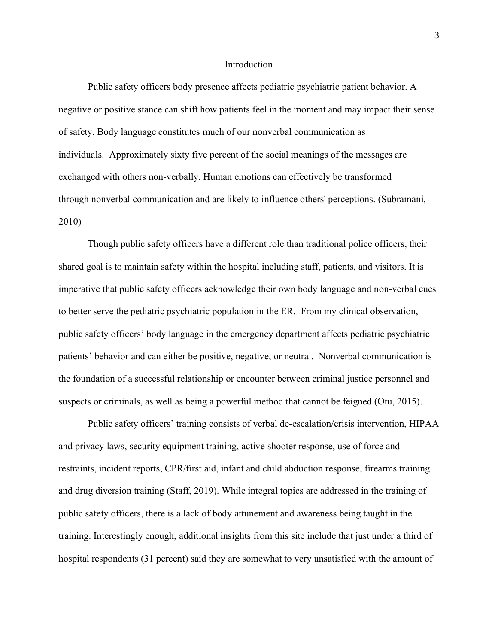#### Introduction

Public safety officers body presence affects pediatric psychiatric patient behavior. A negative or positive stance can shift how patients feel in the moment and may impact their sense of safety. Body language constitutes much of our nonverbal communication as individuals. Approximately sixty five percent of the social meanings of the messages are exchanged with others non-verbally. Human emotions can effectively be transformed through nonverbal communication and are likely to influence others' perceptions. (Subramani, 2010)

Though public safety officers have a different role than traditional police officers, their shared goal is to maintain safety within the hospital including staff, patients, and visitors. It is imperative that public safety officers acknowledge their own body language and non-verbal cues to better serve the pediatric psychiatric population in the ER. From my clinical observation, public safety officers' body language in the emergency department affects pediatric psychiatric patients' behavior and can either be positive, negative, or neutral. Nonverbal communication is the foundation of a successful relationship or encounter between criminal justice personnel and suspects or criminals, as well as being a powerful method that cannot be feigned (Otu, 2015).

Public safety officers' training consists of verbal de-escalation/crisis intervention, HIPAA and privacy laws, security equipment training, active shooter response, use of force and restraints, incident reports, CPR/first aid, infant and child abduction response, firearms training and drug diversion training (Staff, 2019). While integral topics are addressed in the training of public safety officers, there is a lack of body attunement and awareness being taught in the training. Interestingly enough, additional insights from this site include that just under a third of hospital respondents (31 percent) said they are somewhat to very unsatisfied with the amount of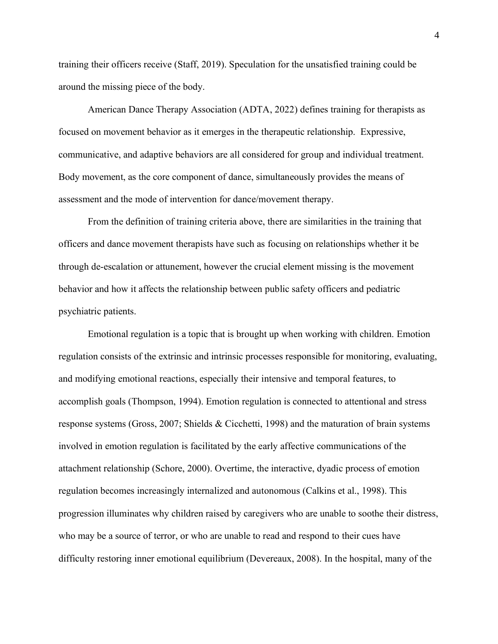training their officers receive (Staff, 2019). Speculation for the unsatisfied training could be around the missing piece of the body.

American Dance Therapy Association (ADTA, 2022) defines training for therapists as focused on movement behavior as it emerges in the therapeutic relationship. Expressive, communicative, and adaptive behaviors are all considered for group and individual treatment. Body movement, as the core component of dance, simultaneously provides the means of assessment and the mode of intervention for dance/movement therapy.

From the definition of training criteria above, there are similarities in the training that officers and dance movement therapists have such as focusing on relationships whether it be through de-escalation or attunement, however the crucial element missing is the movement behavior and how it affects the relationship between public safety officers and pediatric psychiatric patients.

Emotional regulation is a topic that is brought up when working with children. Emotion regulation consists of the extrinsic and intrinsic processes responsible for monitoring, evaluating, and modifying emotional reactions, especially their intensive and temporal features, to accomplish goals (Thompson, 1994). Emotion regulation is connected to attentional and stress response systems (Gross, 2007; Shields & Cicchetti, 1998) and the maturation of brain systems involved in emotion regulation is facilitated by the early affective communications of the attachment relationship (Schore, 2000). Overtime, the interactive, dyadic process of emotion regulation becomes increasingly internalized and autonomous (Calkins et al., 1998). This progression illuminates why children raised by caregivers who are unable to soothe their distress, who may be a source of terror, or who are unable to read and respond to their cues have difficulty restoring inner emotional equilibrium (Devereaux, 2008). In the hospital, many of the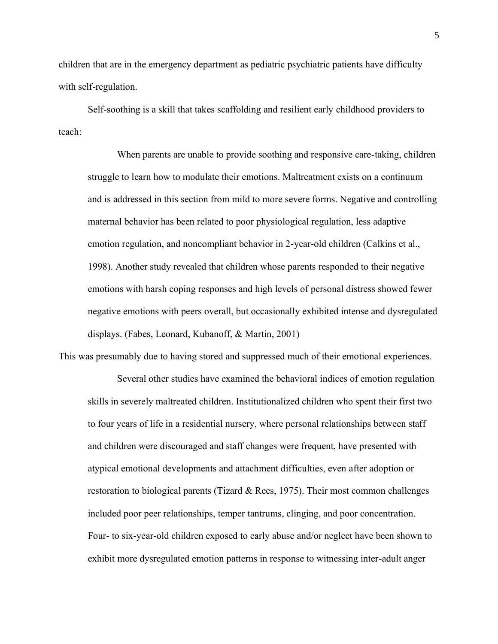children that are in the emergency department as pediatric psychiatric patients have difficulty with self-regulation.

Self-soothing is a skill that takes scaffolding and resilient early childhood providers to teach:

When parents are unable to provide soothing and responsive care-taking, children struggle to learn how to modulate their emotions. Maltreatment exists on a continuum and is addressed in this section from mild to more severe forms. Negative and controlling maternal behavior has been related to poor physiological regulation, less adaptive emotion regulation, and noncompliant behavior in 2-year-old children (Calkins et al., 1998). Another study revealed that children whose parents responded to their negative emotions with harsh coping responses and high levels of personal distress showed fewer negative emotions with peers overall, but occasionally exhibited intense and dysregulated displays. (Fabes, Leonard, Kubanoff, & Martin, 2001)

This was presumably due to having stored and suppressed much of their emotional experiences.

Several other studies have examined the behavioral indices of emotion regulation skills in severely maltreated children. Institutionalized children who spent their first two to four years of life in a residential nursery, where personal relationships between staff and children were discouraged and staff changes were frequent, have presented with atypical emotional developments and attachment difficulties, even after adoption or restoration to biological parents (Tizard  $&$  Rees, 1975). Their most common challenges included poor peer relationships, temper tantrums, clinging, and poor concentration. Four- to six-year-old children exposed to early abuse and/or neglect have been shown to exhibit more dysregulated emotion patterns in response to witnessing inter-adult anger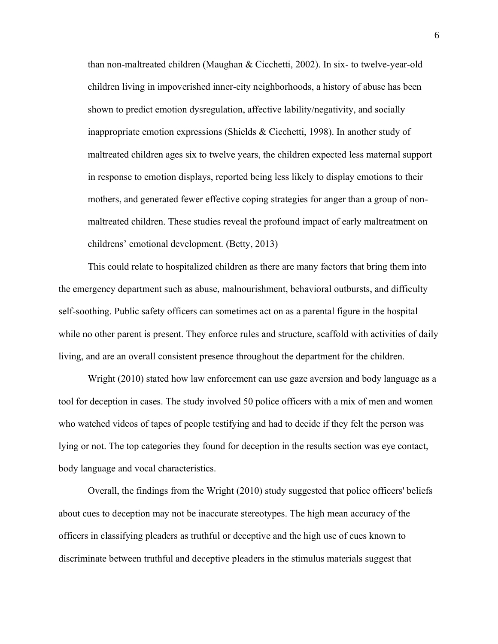than non-maltreated children (Maughan & Cicchetti, 2002). In six- to twelve-year-old children living in impoverished inner-city neighborhoods, a history of abuse has been shown to predict emotion dysregulation, affective lability/negativity, and socially inappropriate emotion expressions (Shields & Cicchetti, 1998). In another study of maltreated children ages six to twelve years, the children expected less maternal support in response to emotion displays, reported being less likely to display emotions to their mothers, and generated fewer effective coping strategies for anger than a group of nonmaltreated children. These studies reveal the profound impact of early maltreatment on childrens' emotional development. (Betty, 2013)

This could relate to hospitalized children as there are many factors that bring them into the emergency department such as abuse, malnourishment, behavioral outbursts, and difficulty self-soothing. Public safety officers can sometimes act on as a parental figure in the hospital while no other parent is present. They enforce rules and structure, scaffold with activities of daily living, and are an overall consistent presence throughout the department for the children.

Wright (2010) stated how law enforcement can use gaze aversion and body language as a tool for deception in cases. The study involved 50 police officers with a mix of men and women who watched videos of tapes of people testifying and had to decide if they felt the person was lying or not. The top categories they found for deception in the results section was eye contact, body language and vocal characteristics.

Overall, the findings from the Wright (2010) study suggested that police officers' beliefs about cues to deception may not be inaccurate stereotypes. The high mean accuracy of the officers in classifying pleaders as truthful or deceptive and the high use of cues known to discriminate between truthful and deceptive pleaders in the stimulus materials suggest that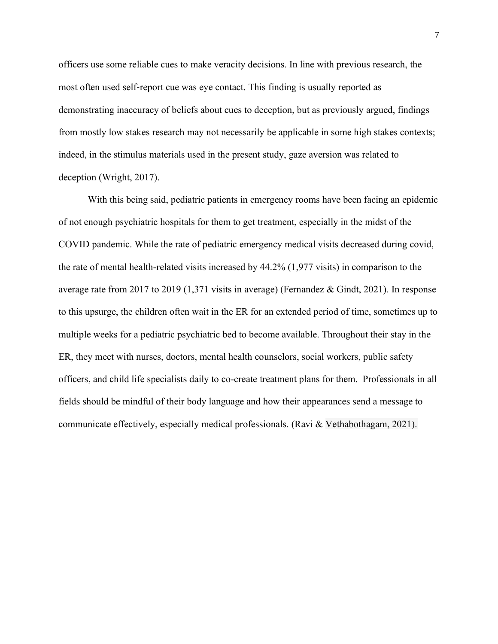officers use some reliable cues to make veracity decisions. In line with previous research, the most often used self‐report cue was eye contact. This finding is usually reported as demonstrating inaccuracy of beliefs about cues to deception, but as previously argued, findings from mostly low stakes research may not necessarily be applicable in some high stakes contexts; indeed, in the stimulus materials used in the present study, gaze aversion was related to deception (Wright, 2017).

With this being said, pediatric patients in emergency rooms have been facing an epidemic of not enough psychiatric hospitals for them to get treatment, especially in the midst of the COVID pandemic. While the rate of pediatric emergency medical visits decreased during covid, the rate of mental health-related visits increased by 44.2% (1,977 visits) in comparison to the average rate from 2017 to 2019 (1,371 visits in average) (Fernandez & Gindt, 2021). In response to this upsurge, the children often wait in the ER for an extended period of time, sometimes up to multiple weeks for a pediatric psychiatric bed to become available. Throughout their stay in the ER, they meet with nurses, doctors, mental health counselors, social workers, public safety officers, and child life specialists daily to co-create treatment plans for them. Professionals in all fields should be mindful of their body language and how their appearances send a message to communicate effectively, especially medical professionals. (Ravi & Vethabothagam, 2021).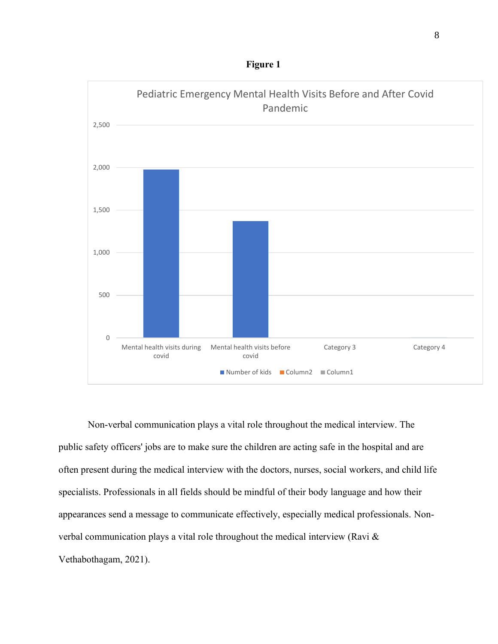



Non-verbal communication plays a vital role throughout the medical interview. The public safety officers' jobs are to make sure the children are acting safe in the hospital and are often present during the medical interview with the doctors, nurses, social workers, and child life specialists. Professionals in all fields should be mindful of their body language and how their appearances send a message to communicate effectively, especially medical professionals. Nonverbal communication plays a vital role throughout the medical interview (Ravi & Vethabothagam, 2021).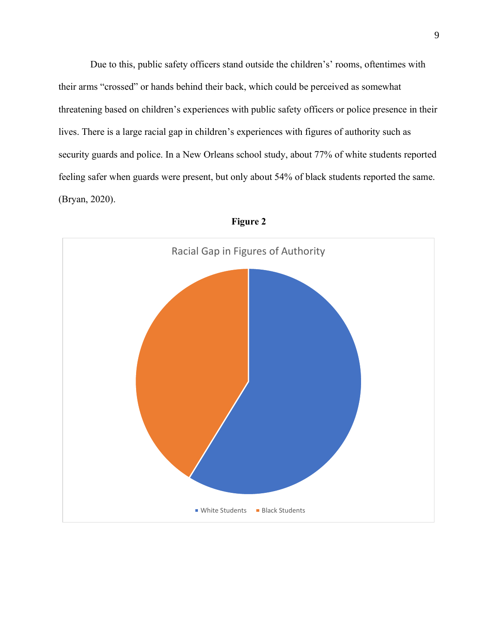Due to this, public safety officers stand outside the children's' rooms, oftentimes with their arms "crossed" or hands behind their back, which could be perceived as somewhat threatening based on children's experiences with public safety officers or police presence in their lives. There is a large racial gap in children's experiences with figures of authority such as security guards and police. In a New Orleans school study, about 77% of white students reported feeling safer when guards were present, but only about 54% of black students reported the same. (Bryan, 2020).



**Figure 2**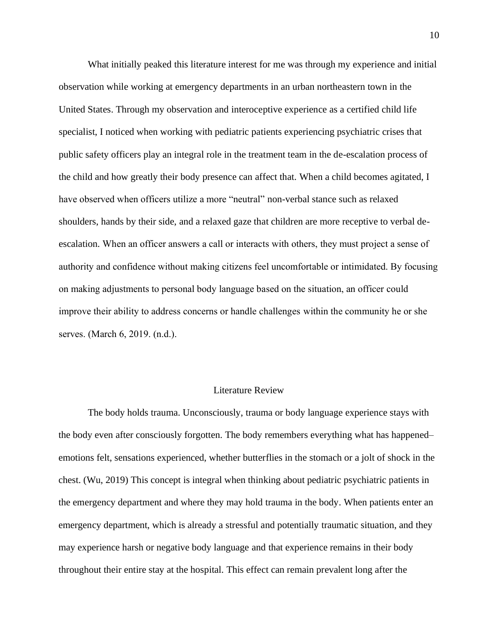What initially peaked this literature interest for me was through my experience and initial observation while working at emergency departments in an urban northeastern town in the United States. Through my observation and interoceptive experience as a certified child life specialist, I noticed when working with pediatric patients experiencing psychiatric crises that public safety officers play an integral role in the treatment team in the de-escalation process of the child and how greatly their body presence can affect that. When a child becomes agitated, I have observed when officers utilize a more "neutral" non-verbal stance such as relaxed shoulders, hands by their side, and a relaxed gaze that children are more receptive to verbal deescalation. When an officer answers a call or interacts with others, they must project a sense of authority and confidence without making citizens feel uncomfortable or intimidated. By focusing on making adjustments to personal body language based on the situation, an officer could improve their ability to address concerns or handle challenges within the community he or she serves. (March 6, 2019. (n.d.).

## Literature Review

The body holds trauma. Unconsciously, trauma or body language experience stays with the body even after consciously forgotten. The body remembers everything what has happened– emotions felt, sensations experienced, whether butterflies in the stomach or a jolt of shock in the chest. (Wu, 2019) This concept is integral when thinking about pediatric psychiatric patients in the emergency department and where they may hold trauma in the body. When patients enter an emergency department, which is already a stressful and potentially traumatic situation, and they may experience harsh or negative body language and that experience remains in their body throughout their entire stay at the hospital. This effect can remain prevalent long after the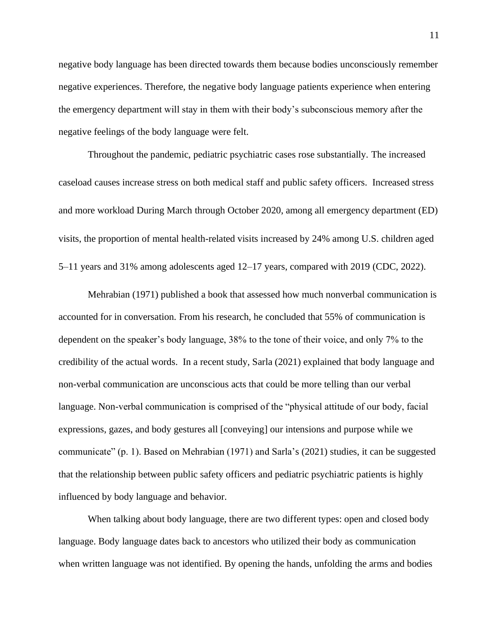negative body language has been directed towards them because bodies unconsciously remember negative experiences. Therefore, the negative body language patients experience when entering the emergency department will stay in them with their body's subconscious memory after the negative feelings of the body language were felt.

Throughout the pandemic, pediatric psychiatric cases rose substantially. The increased caseload causes increase stress on both medical staff and public safety officers. Increased stress and more workload During March through October 2020, among all emergency department (ED) visits, the proportion of mental health-related visits increased by 24% among U.S. children aged 5–11 years and 31% among adolescents aged 12–17 years, compared with 2019 (CDC, 2022).

Mehrabian (1971) published a book that assessed how much nonverbal communication is accounted for in conversation. From his research, he concluded that 55% of communication is dependent on the speaker's body language, 38% to the tone of their voice, and only 7% to the credibility of the actual words. In a recent study, Sarla (2021) explained that body language and non-verbal communication are unconscious acts that could be more telling than our verbal language. Non-verbal communication is comprised of the "physical attitude of our body, facial expressions, gazes, and body gestures all [conveying] our intensions and purpose while we communicate" (p. 1). Based on Mehrabian (1971) and Sarla's (2021) studies, it can be suggested that the relationship between public safety officers and pediatric psychiatric patients is highly influenced by body language and behavior.

When talking about body language, there are two different types: open and closed body language. Body language dates back to ancestors who utilized their body as communication when written language was not identified. By opening the hands, unfolding the arms and bodies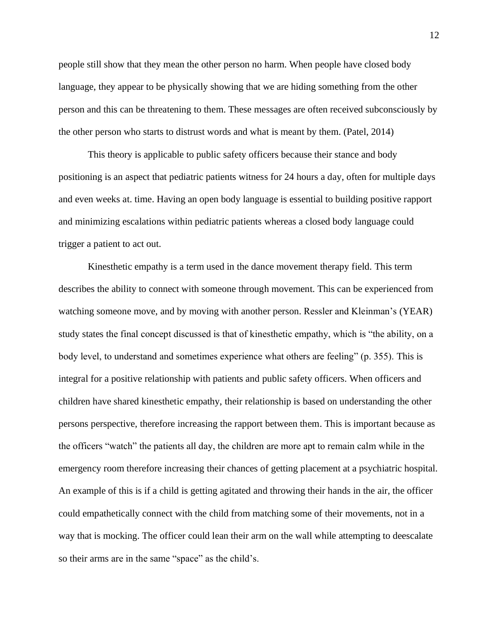people still show that they mean the other person no harm. When people have closed body language, they appear to be physically showing that we are hiding something from the other person and this can be threatening to them. These messages are often received subconsciously by the other person who starts to distrust words and what is meant by them. (Patel, 2014)

This theory is applicable to public safety officers because their stance and body positioning is an aspect that pediatric patients witness for 24 hours a day, often for multiple days and even weeks at. time. Having an open body language is essential to building positive rapport and minimizing escalations within pediatric patients whereas a closed body language could trigger a patient to act out.

Kinesthetic empathy is a term used in the dance movement therapy field. This term describes the ability to connect with someone through movement. This can be experienced from watching someone move, and by moving with another person. Ressler and Kleinman's (YEAR) study states the final concept discussed is that of kinesthetic empathy, which is "the ability, on a body level, to understand and sometimes experience what others are feeling" (p. 355). This is integral for a positive relationship with patients and public safety officers. When officers and children have shared kinesthetic empathy, their relationship is based on understanding the other persons perspective, therefore increasing the rapport between them. This is important because as the officers "watch" the patients all day, the children are more apt to remain calm while in the emergency room therefore increasing their chances of getting placement at a psychiatric hospital. An example of this is if a child is getting agitated and throwing their hands in the air, the officer could empathetically connect with the child from matching some of their movements, not in a way that is mocking. The officer could lean their arm on the wall while attempting to deescalate so their arms are in the same "space" as the child's.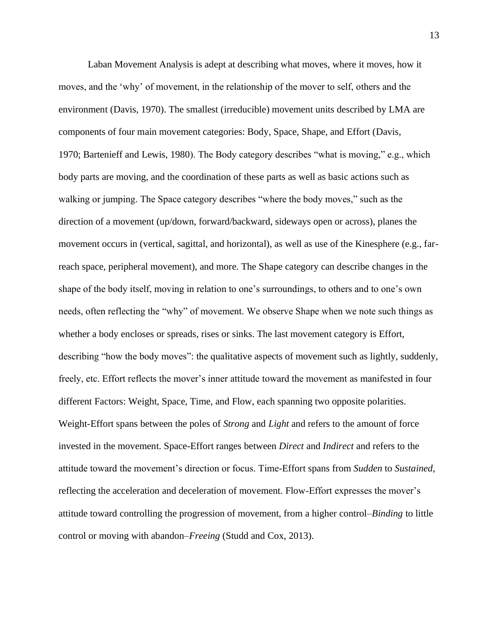Laban Movement Analysis is adept at describing what moves, where it moves, how it moves, and the 'why' of movement, in the relationship of the mover to self, others and the environment [\(Davis, 1970\)](https://www.frontiersin.org/articles/10.3389/fpsyg.2019.00572/full#B32). The smallest (irreducible) movement units described by LMA are components of four main movement categories: Body, Space, Shape, and Effort [\(Davis,](https://www.frontiersin.org/articles/10.3389/fpsyg.2019.00572/full#B32)  [1970;](https://www.frontiersin.org/articles/10.3389/fpsyg.2019.00572/full#B32) [Bartenieff and Lewis, 1980\)](https://www.frontiersin.org/articles/10.3389/fpsyg.2019.00572/full#B10). The Body category describes "what is moving," e.g., which body parts are moving, and the coordination of these parts as well as basic actions such as walking or jumping. The Space category describes "where the body moves," such as the direction of a movement (up/down, forward/backward, sideways open or across), planes the movement occurs in (vertical, sagittal, and horizontal), as well as use of the Kinesphere (e.g., farreach space, peripheral movement), and more. The Shape category can describe changes in the shape of the body itself, moving in relation to one's surroundings, to others and to one's own needs, often reflecting the "why" of movement. We observe Shape when we note such things as whether a body encloses or spreads, rises or sinks. The last movement category is Effort, describing "how the body moves": the qualitative aspects of movement such as lightly, suddenly, freely, etc. Effort reflects the mover's inner attitude toward the movement as manifested in four different Factors: Weight, Space, Time, and Flow, each spanning two opposite polarities. Weight-Effort spans between the poles of *Strong* and *Light* and refers to the amount of force invested in the movement. Space-Effort ranges between *Direct* and *Indirect* and refers to the attitude toward the movement's direction or focus. Time-Effort spans from *Sudden* to *Sustained*, reflecting the acceleration and deceleration of movement. Flow-Effort expresses the mover's attitude toward controlling the progression of movement, from a higher control–*Binding* to little control or moving with abandon–*Freeing* [\(Studd and Cox, 2013\)](https://www.frontiersin.org/articles/10.3389/fpsyg.2019.00572/full#B78).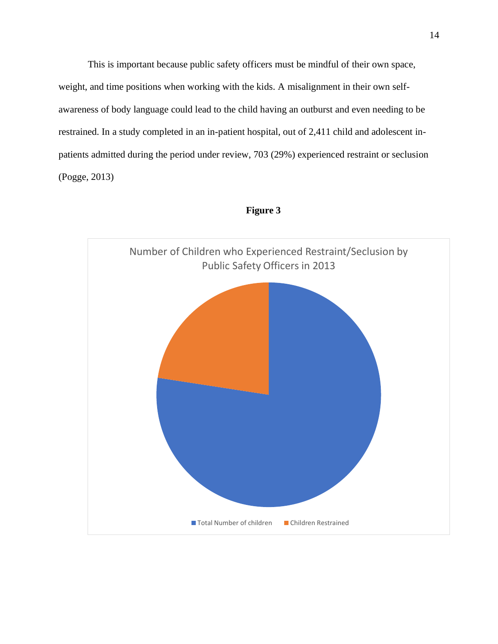This is important because public safety officers must be mindful of their own space, weight, and time positions when working with the kids. A misalignment in their own selfawareness of body language could lead to the child having an outburst and even needing to be restrained. In a study completed in an in-patient hospital, out of 2,411 child and adolescent inpatients admitted during the period under review, 703 (29%) experienced restraint or seclusion (Pogge, 2013)



# **Figure 3**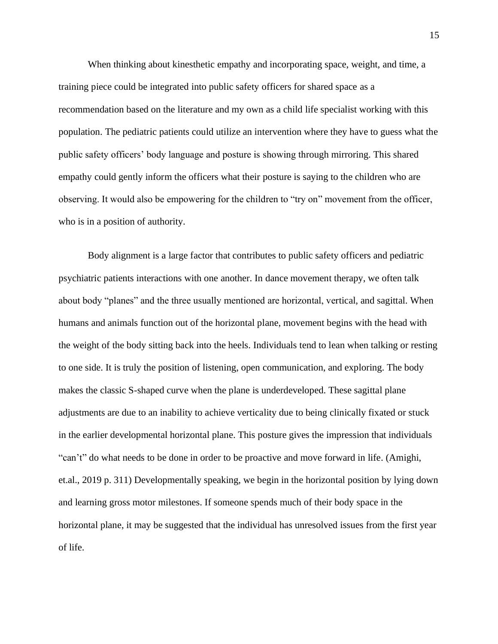When thinking about kinesthetic empathy and incorporating space, weight, and time, a training piece could be integrated into public safety officers for shared space as a recommendation based on the literature and my own as a child life specialist working with this population. The pediatric patients could utilize an intervention where they have to guess what the public safety officers' body language and posture is showing through mirroring. This shared empathy could gently inform the officers what their posture is saying to the children who are observing. It would also be empowering for the children to "try on" movement from the officer, who is in a position of authority.

Body alignment is a large factor that contributes to public safety officers and pediatric psychiatric patients interactions with one another. In dance movement therapy, we often talk about body "planes" and the three usually mentioned are horizontal, vertical, and sagittal. When humans and animals function out of the horizontal plane, movement begins with the head with the weight of the body sitting back into the heels. Individuals tend to lean when talking or resting to one side. It is truly the position of listening, open communication, and exploring. The body makes the classic S-shaped curve when the plane is underdeveloped. These sagittal plane adjustments are due to an inability to achieve verticality due to being clinically fixated or stuck in the earlier developmental horizontal plane. This posture gives the impression that individuals "can't" do what needs to be done in order to be proactive and move forward in life. (Amighi, et.al., 2019 p. 311) Developmentally speaking, we begin in the horizontal position by lying down and learning gross motor milestones. If someone spends much of their body space in the horizontal plane, it may be suggested that the individual has unresolved issues from the first year of life.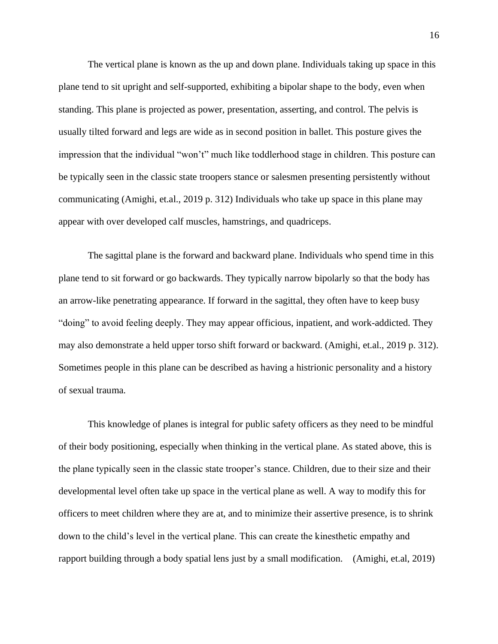The vertical plane is known as the up and down plane. Individuals taking up space in this plane tend to sit upright and self-supported, exhibiting a bipolar shape to the body, even when standing. This plane is projected as power, presentation, asserting, and control. The pelvis is usually tilted forward and legs are wide as in second position in ballet. This posture gives the impression that the individual "won't" much like toddlerhood stage in children. This posture can be typically seen in the classic state troopers stance or salesmen presenting persistently without communicating (Amighi, et.al., 2019 p. 312) Individuals who take up space in this plane may appear with over developed calf muscles, hamstrings, and quadriceps.

The sagittal plane is the forward and backward plane. Individuals who spend time in this plane tend to sit forward or go backwards. They typically narrow bipolarly so that the body has an arrow-like penetrating appearance. If forward in the sagittal, they often have to keep busy "doing" to avoid feeling deeply. They may appear officious, inpatient, and work-addicted. They may also demonstrate a held upper torso shift forward or backward. (Amighi, et.al., 2019 p. 312). Sometimes people in this plane can be described as having a histrionic personality and a history of sexual trauma.

This knowledge of planes is integral for public safety officers as they need to be mindful of their body positioning, especially when thinking in the vertical plane. As stated above, this is the plane typically seen in the classic state trooper's stance. Children, due to their size and their developmental level often take up space in the vertical plane as well. A way to modify this for officers to meet children where they are at, and to minimize their assertive presence, is to shrink down to the child's level in the vertical plane. This can create the kinesthetic empathy and rapport building through a body spatial lens just by a small modification. (Amighi, et.al, 2019)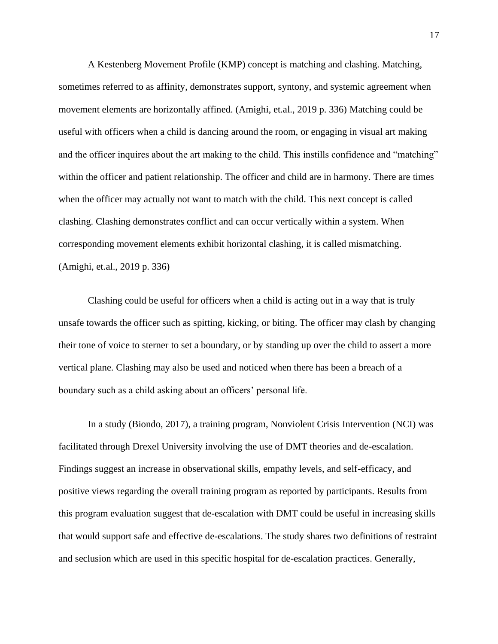A Kestenberg Movement Profile (KMP) concept is matching and clashing. Matching, sometimes referred to as affinity, demonstrates support, syntony, and systemic agreement when movement elements are horizontally affined. (Amighi, et.al., 2019 p. 336) Matching could be useful with officers when a child is dancing around the room, or engaging in visual art making and the officer inquires about the art making to the child. This instills confidence and "matching" within the officer and patient relationship. The officer and child are in harmony. There are times when the officer may actually not want to match with the child. This next concept is called clashing. Clashing demonstrates conflict and can occur vertically within a system. When corresponding movement elements exhibit horizontal clashing, it is called mismatching. (Amighi, et.al., 2019 p. 336)

Clashing could be useful for officers when a child is acting out in a way that is truly unsafe towards the officer such as spitting, kicking, or biting. The officer may clash by changing their tone of voice to sterner to set a boundary, or by standing up over the child to assert a more vertical plane. Clashing may also be used and noticed when there has been a breach of a boundary such as a child asking about an officers' personal life.

In a study (Biondo, 2017), a training program, Nonviolent Crisis Intervention (NCI) was facilitated through Drexel University involving the use of DMT theories and de-escalation. Findings suggest an increase in observational skills, empathy levels, and self-efficacy, and positive views regarding the overall training program as reported by participants. Results from this program evaluation suggest that de-escalation with DMT could be useful in increasing skills that would support safe and effective de-escalations. The study shares two definitions of restraint and seclusion which are used in this specific hospital for de-escalation practices. Generally,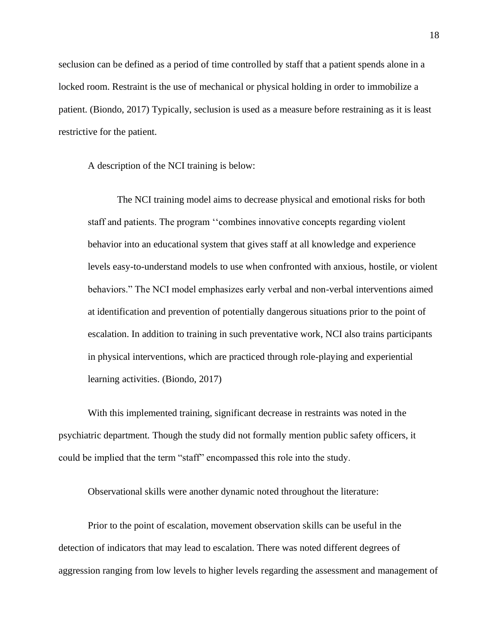seclusion can be defined as a period of time controlled by staff that a patient spends alone in a locked room. Restraint is the use of mechanical or physical holding in order to immobilize a patient. (Biondo, 2017) Typically, seclusion is used as a measure before restraining as it is least restrictive for the patient.

A description of the NCI training is below:

The NCI training model aims to decrease physical and emotional risks for both staff and patients. The program ''combines innovative concepts regarding violent behavior into an educational system that gives staff at all knowledge and experience levels easy-to-understand models to use when confronted with anxious, hostile, or violent behaviors." The NCI model emphasizes early verbal and non-verbal interventions aimed at identification and prevention of potentially dangerous situations prior to the point of escalation. In addition to training in such preventative work, NCI also trains participants in physical interventions, which are practiced through role-playing and experiential learning activities. (Biondo, 2017)

With this implemented training, significant decrease in restraints was noted in the psychiatric department. Though the study did not formally mention public safety officers, it could be implied that the term "staff" encompassed this role into the study.

Observational skills were another dynamic noted throughout the literature:

Prior to the point of escalation, movement observation skills can be useful in the detection of indicators that may lead to escalation. There was noted different degrees of aggression ranging from low levels to higher levels regarding the assessment and management of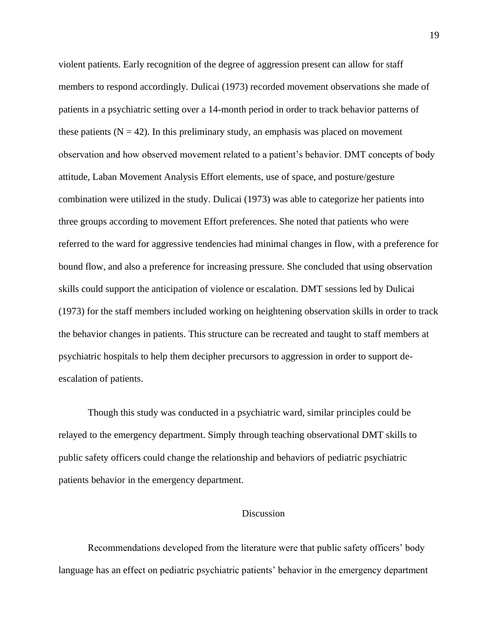violent patients. Early recognition of the degree of aggression present can allow for staff members to respond accordingly. Dulicai (1973) recorded movement observations she made of patients in a psychiatric setting over a 14-month period in order to track behavior patterns of these patients ( $N = 42$ ). In this preliminary study, an emphasis was placed on movement observation and how observed movement related to a patient's behavior. DMT concepts of body attitude, Laban Movement Analysis Effort elements, use of space, and posture/gesture combination were utilized in the study. Dulicai (1973) was able to categorize her patients into three groups according to movement Effort preferences. She noted that patients who were referred to the ward for aggressive tendencies had minimal changes in flow, with a preference for bound flow, and also a preference for increasing pressure. She concluded that using observation skills could support the anticipation of violence or escalation. DMT sessions led by Dulicai (1973) for the staff members included working on heightening observation skills in order to track the behavior changes in patients. This structure can be recreated and taught to staff members at psychiatric hospitals to help them decipher precursors to aggression in order to support deescalation of patients.

Though this study was conducted in a psychiatric ward, similar principles could be relayed to the emergency department. Simply through teaching observational DMT skills to public safety officers could change the relationship and behaviors of pediatric psychiatric patients behavior in the emergency department.

#### Discussion

Recommendations developed from the literature were that public safety officers' body language has an effect on pediatric psychiatric patients' behavior in the emergency department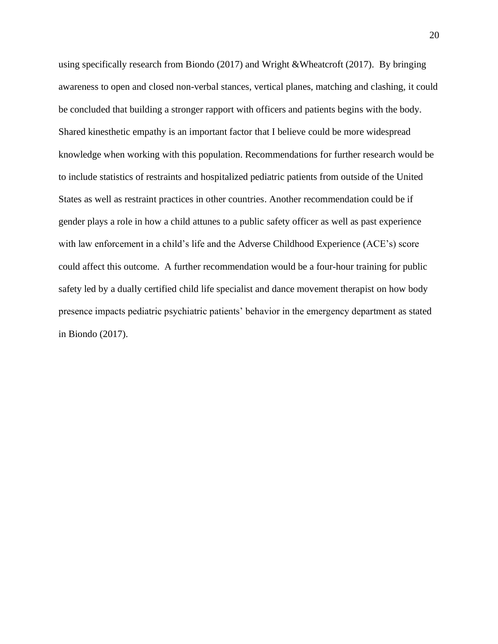using specifically research from Biondo (2017) and Wright &Wheatcroft (2017). By bringing awareness to open and closed non-verbal stances, vertical planes, matching and clashing, it could be concluded that building a stronger rapport with officers and patients begins with the body. Shared kinesthetic empathy is an important factor that I believe could be more widespread knowledge when working with this population. Recommendations for further research would be to include statistics of restraints and hospitalized pediatric patients from outside of the United States as well as restraint practices in other countries. Another recommendation could be if gender plays a role in how a child attunes to a public safety officer as well as past experience with law enforcement in a child's life and the Adverse Childhood Experience (ACE's) score could affect this outcome. A further recommendation would be a four-hour training for public safety led by a dually certified child life specialist and dance movement therapist on how body presence impacts pediatric psychiatric patients' behavior in the emergency department as stated in Biondo (2017).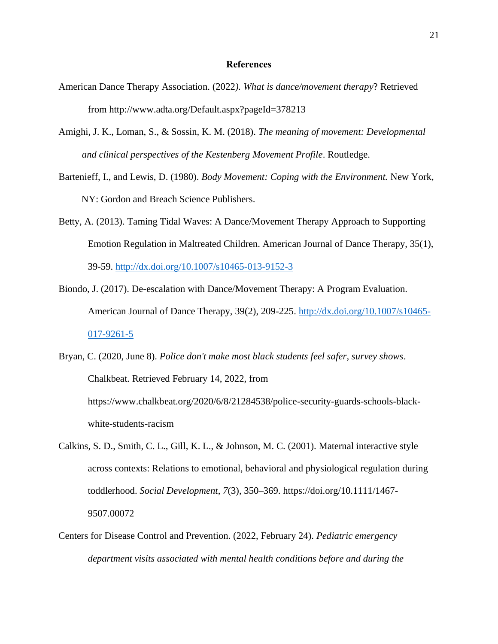#### **References**

- American Dance Therapy Association. (2022*). What is dance/movement therapy*? Retrieved from http://www.adta.org/Default.aspx?pageId=378213
- Amighi, J. K., Loman, S., & Sossin, K. M. (2018). *The meaning of movement: Developmental and clinical perspectives of the Kestenberg Movement Profile*. Routledge.
- Bartenieff, I., and Lewis, D. (1980). *Body Movement: Coping with the Environment.* New York, NY: Gordon and Breach Science Publishers.
- Betty, A. (2013). Taming Tidal Waves: A Dance/Movement Therapy Approach to Supporting Emotion Regulation in Maltreated Children. American Journal of Dance Therapy, 35(1), 39-59.<http://dx.doi.org/10.1007/s10465-013-9152-3>
- Biondo, J. (2017). De-escalation with Dance/Movement Therapy: A Program Evaluation. American Journal of Dance Therapy, 39(2), 209-225. [http://dx.doi.org/10.1007/s10465-](http://dx.doi.org/10.1007/s10465-017-9261-5) [017-9261-5](http://dx.doi.org/10.1007/s10465-017-9261-5)
- Bryan, C. (2020, June 8). *Police don't make most black students feel safer, survey shows*. Chalkbeat. Retrieved February 14, 2022, from https://www.chalkbeat.org/2020/6/8/21284538/police-security-guards-schools-blackwhite-students-racism
- Calkins, S. D., Smith, C. L., Gill, K. L., & Johnson, M. C. (2001). Maternal interactive style across contexts: Relations to emotional, behavioral and physiological regulation during toddlerhood. *Social Development*, *7*(3), 350–369. https://doi.org/10.1111/1467- 9507.00072
- Centers for Disease Control and Prevention. (2022, February 24). *Pediatric emergency department visits associated with mental health conditions before and during the*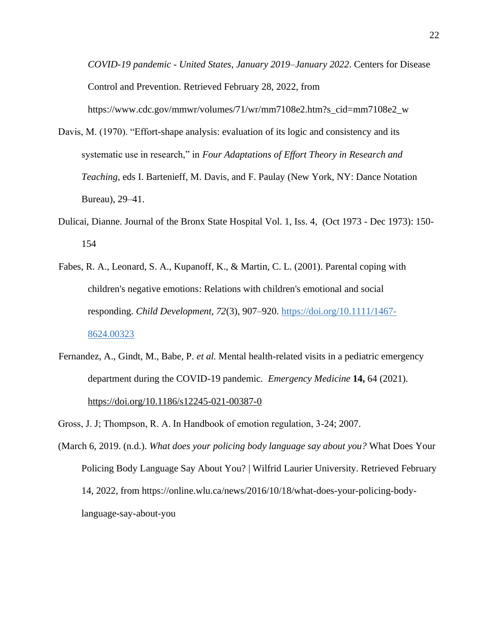*COVID-19 pandemic - United States, January 2019–January 2022*. Centers for Disease Control and Prevention. Retrieved February 28, 2022, from https://www.cdc.gov/mmwr/volumes/71/wr/mm7108e2.htm?s\_cid=mm7108e2\_w

- Davis, M. (1970). "Effort-shape analysis: evaluation of its logic and consistency and its systematic use in research," in *Four Adaptations of Effort Theory in Research and Teaching*, eds I. Bartenieff, M. Davis, and F. Paulay (New York, NY: Dance Notation Bureau), 29–41.
- Dulicai, Dianne. Journal of the Bronx State Hospital Vol. 1, Iss. 4, (Oct 1973 Dec 1973): 150- 154
- Fabes, R. A., Leonard, S. A., Kupanoff, K., & Martin, C. L. (2001). Parental coping with children's negative emotions: Relations with children's emotional and social responding. *Child Development, 72*(3), 907–920. [https://doi.org/10.1111/1467-](https://psycnet.apa.org/doi/10.1111/1467-8624.00323) [8624.00323](https://psycnet.apa.org/doi/10.1111/1467-8624.00323)
- Fernandez, A., Gindt, M., Babe, P. *et al.* Mental health-related visits in a pediatric emergency department during the COVID-19 pandemic. *Emergency Medicine* **14,** 64 (2021). <https://doi.org/10.1186/s12245-021-00387-0>
- Gross, J. J; Thompson, R. A. In Handbook of emotion regulation, 3-24; 2007.
- (March 6, 2019. (n.d.). *What does your policing body language say about you?* What Does Your Policing Body Language Say About You? | Wilfrid Laurier University. Retrieved February 14, 2022, from https://online.wlu.ca/news/2016/10/18/what-does-your-policing-bodylanguage-say-about-you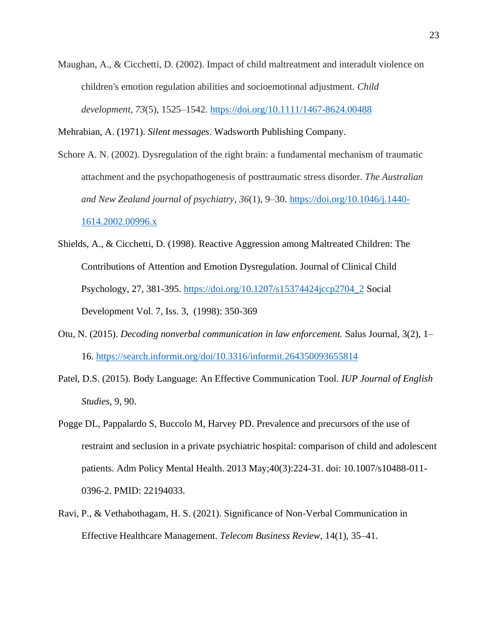Maughan, A., & Cicchetti, D. (2002). Impact of child maltreatment and interadult violence on children's emotion regulation abilities and socioemotional adjustment. *Child development*, *73*(5), 1525–1542.<https://doi.org/10.1111/1467-8624.00488>

Mehrabian, A. (1971). *Silent messages*. Wadsworth Publishing Company.

- Schore A. N. (2002). Dysregulation of the right brain: a fundamental mechanism of traumatic attachment and the psychopathogenesis of posttraumatic stress disorder. *The Australian and New Zealand journal of psychiatry*, *36*(1), 9–30. [https://doi.org/10.1046/j.1440-](https://doi.org/10.1046/j.1440-1614.2002.00996.x) [1614.2002.00996.x](https://doi.org/10.1046/j.1440-1614.2002.00996.x)
- Shields, A., & Cicchetti, D. (1998). Reactive Aggression among Maltreated Children: The Contributions of Attention and Emotion Dysregulation. Journal of Clinical Child Psychology, 27, 381-395. [https://doi.org/10.1207/s15374424jccp2704\\_2](https://doi.org/10.1207/s15374424jccp2704_2) Social Development Vol. 7, Iss. 3, (1998): 350-369
- Otu, N. (2015). *Decoding nonverbal communication in law enforcement.* Salus Journal, 3(2), 1– 16.<https://search.informit.org/doi/10.3316/informit.264350093655814>
- Patel, D.S. (2015). Body Language: An Effective Communication Tool*. IUP Journal of English Studies,* 9, 90.
- Pogge DL, Pappalardo S, Buccolo M, Harvey PD. Prevalence and precursors of the use of restraint and seclusion in a private psychiatric hospital: comparison of child and adolescent patients. Adm Policy Mental Health. 2013 May;40(3):224-31. doi: 10.1007/s10488-011- 0396-2. PMID: 22194033.
- Ravi, P., & Vethabothagam*,* H. S. (2021). Significance of Non-Verbal Communication in Effective Healthcare Management. *Telecom Business Review,* 14(1), 35–41.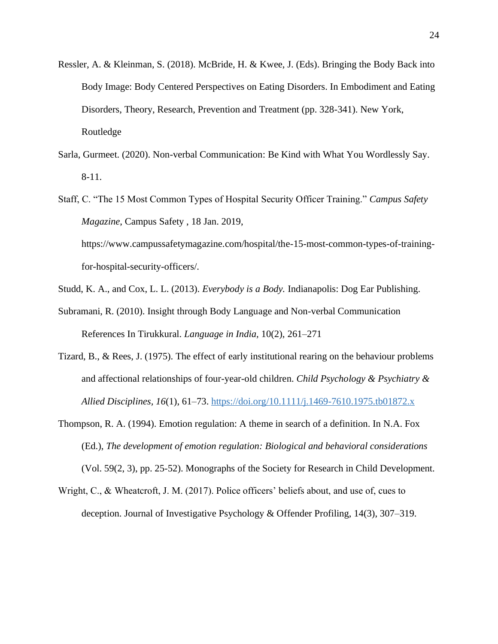- Ressler, A. & Kleinman, S. (2018). McBride, H. & Kwee, J. (Eds). Bringing the Body Back into Body Image: Body Centered Perspectives on Eating Disorders. In Embodiment and Eating Disorders, Theory, Research, Prevention and Treatment (pp. 328-341). New York, Routledge
- Sarla, Gurmeet. (2020). Non-verbal Communication: Be Kind with What You Wordlessly Say. 8-11.
- Staff, C. "The 15 Most Common Types of Hospital Security Officer Training." *Campus Safety Magazine*, Campus Safety , 18 Jan. 2019, https://www.campussafetymagazine.com/hospital/the-15-most-common-types-of-trainingfor-hospital-security-officers/.
- Studd, K. A., and Cox, L. L. (2013). *Everybody is a Body.* Indianapolis: Dog Ear Publishing.
- Subramani, R. (2010). Insight through Body Language and Non-verbal Communication References In Tirukkural. *Language in India,* 10(2), 261–271
- Tizard, B., & Rees, J. (1975). The effect of early institutional rearing on the behaviour problems and affectional relationships of four-year-old children. *Child Psychology & Psychiatry & Allied Disciplines, 16*(1), 61–73. [https://doi.org/10.1111/j.1469-7610.1975.tb01872.x](https://psycnet.apa.org/doi/10.1111/j.1469-7610.1975.tb01872.x)
- Thompson, R. A. (1994). Emotion regulation: A theme in search of a definition. In N.A. Fox (Ed.), *The development of emotion regulation: Biological and behavioral considerations* (Vol. 59(2, 3), pp. 25-52). Monographs of the Society for Research in Child Development.
- Wright, C., & Wheatcroft, J. M. (2017). Police officers' beliefs about, and use of, cues to deception. Journal of Investigative Psychology & Offender Profiling, 14(3), 307–319.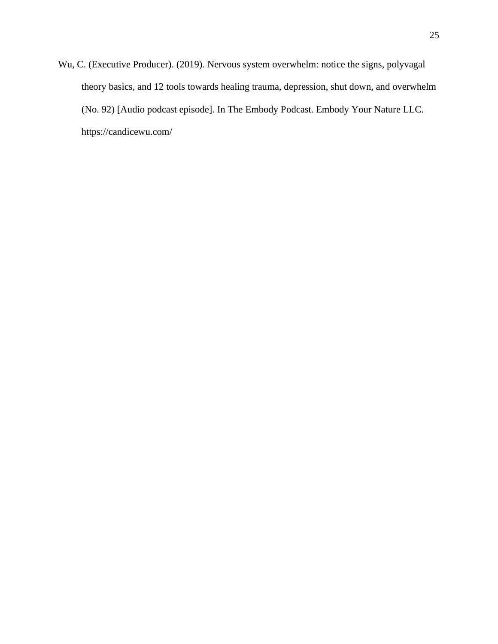Wu, C. (Executive Producer). (2019). Nervous system overwhelm: notice the signs, polyvagal theory basics, and 12 tools towards healing trauma, depression, shut down, and overwhelm (No. 92) [Audio podcast episode]. In The Embody Podcast. Embody Your Nature LLC. https://candicewu.com/